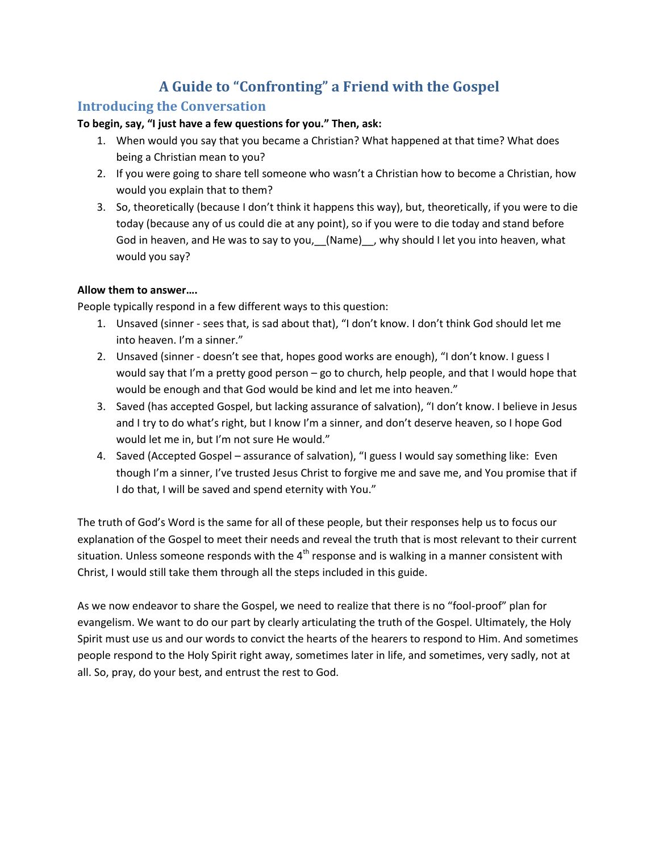# **A Guide to "Confronting" a Friend with the Gospel**

## **Introducing the Conversation**

#### **To begin, say, "I just have a few questions for you." Then, ask:**

- 1. When would you say that you became a Christian? What happened at that time? What does being a Christian mean to you?
- 2. If you were going to share tell someone who wasn't a Christian how to become a Christian, how would you explain that to them?
- 3. So, theoretically (because I don't think it happens this way), but, theoretically, if you were to die today (because any of us could die at any point), so if you were to die today and stand before God in heaven, and He was to say to you, (Name), why should I let you into heaven, what would you say?

#### **Allow them to answer….**

People typically respond in a few different ways to this question:

- 1. Unsaved (sinner sees that, is sad about that), "I don't know. I don't think God should let me into heaven. I'm a sinner."
- 2. Unsaved (sinner doesn't see that, hopes good works are enough), "I don't know. I guess I would say that I'm a pretty good person – go to church, help people, and that I would hope that would be enough and that God would be kind and let me into heaven."
- 3. Saved (has accepted Gospel, but lacking assurance of salvation), "I don't know. I believe in Jesus and I try to do what's right, but I know I'm a sinner, and don't deserve heaven, so I hope God would let me in, but I'm not sure He would."
- 4. Saved (Accepted Gospel assurance of salvation), "I guess I would say something like: Even though I'm a sinner, I've trusted Jesus Christ to forgive me and save me, and You promise that if I do that, I will be saved and spend eternity with You."

The truth of God's Word is the same for all of these people, but their responses help us to focus our explanation of the Gospel to meet their needs and reveal the truth that is most relevant to their current situation. Unless someone responds with the  $4<sup>th</sup>$  response and is walking in a manner consistent with Christ, I would still take them through all the steps included in this guide.

As we now endeavor to share the Gospel, we need to realize that there is no "fool-proof" plan for evangelism. We want to do our part by clearly articulating the truth of the Gospel. Ultimately, the Holy Spirit must use us and our words to convict the hearts of the hearers to respond to Him. And sometimes people respond to the Holy Spirit right away, sometimes later in life, and sometimes, very sadly, not at all. So, pray, do your best, and entrust the rest to God.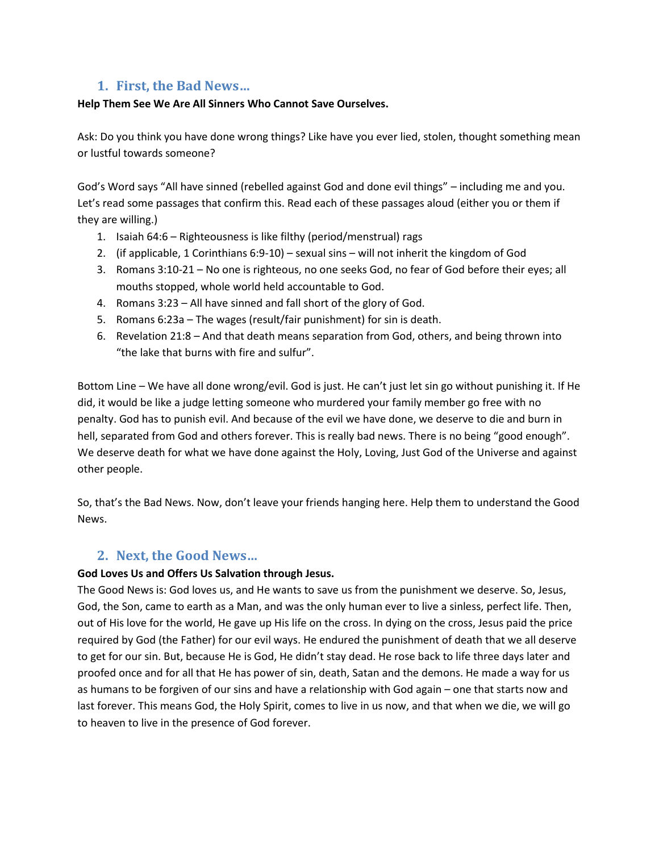## **1. First, the Bad News…**

#### **Help Them See We Are All Sinners Who Cannot Save Ourselves.**

Ask: Do you think you have done wrong things? Like have you ever lied, stolen, thought something mean or lustful towards someone?

God's Word says "All have sinned (rebelled against God and done evil things" – including me and you. Let's read some passages that confirm this. Read each of these passages aloud (either you or them if they are willing.)

- 1. Isaiah 64:6 Righteousness is like filthy (period/menstrual) rags
- 2. (if applicable, 1 Corinthians 6:9-10) sexual sins will not inherit the kingdom of God
- 3. Romans 3:10-21 No one is righteous, no one seeks God, no fear of God before their eyes; all mouths stopped, whole world held accountable to God.
- 4. Romans 3:23 All have sinned and fall short of the glory of God.
- 5. Romans 6:23a The wages (result/fair punishment) for sin is death.
- 6. Revelation 21:8 And that death means separation from God, others, and being thrown into "the lake that burns with fire and sulfur".

Bottom Line – We have all done wrong/evil. God is just. He can't just let sin go without punishing it. If He did, it would be like a judge letting someone who murdered your family member go free with no penalty. God has to punish evil. And because of the evil we have done, we deserve to die and burn in hell, separated from God and others forever. This is really bad news. There is no being "good enough". We deserve death for what we have done against the Holy, Loving, Just God of the Universe and against other people.

So, that's the Bad News. Now, don't leave your friends hanging here. Help them to understand the Good News.

#### **2. Next, the Good News…**

#### **God Loves Us and Offers Us Salvation through Jesus.**

The Good News is: God loves us, and He wants to save us from the punishment we deserve. So, Jesus, God, the Son, came to earth as a Man, and was the only human ever to live a sinless, perfect life. Then, out of His love for the world, He gave up His life on the cross. In dying on the cross, Jesus paid the price required by God (the Father) for our evil ways. He endured the punishment of death that we all deserve to get for our sin. But, because He is God, He didn't stay dead. He rose back to life three days later and proofed once and for all that He has power of sin, death, Satan and the demons. He made a way for us as humans to be forgiven of our sins and have a relationship with God again – one that starts now and last forever. This means God, the Holy Spirit, comes to live in us now, and that when we die, we will go to heaven to live in the presence of God forever.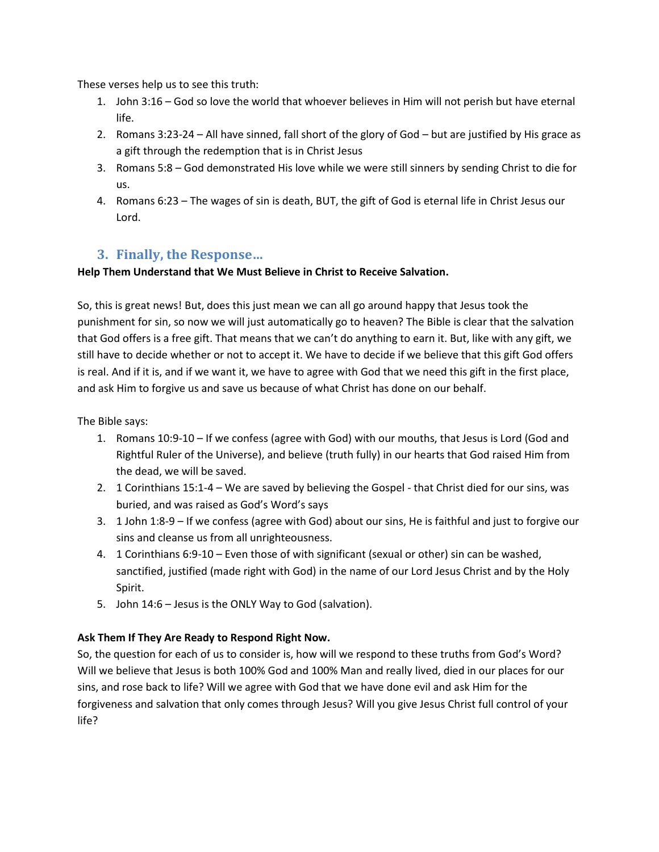These verses help us to see this truth:

- 1. John 3:16 God so love the world that whoever believes in Him will not perish but have eternal life.
- 2. Romans 3:23-24 All have sinned, fall short of the glory of God but are justified by His grace as a gift through the redemption that is in Christ Jesus
- 3. Romans 5:8 God demonstrated His love while we were still sinners by sending Christ to die for us.
- 4. Romans 6:23 The wages of sin is death, BUT, the gift of God is eternal life in Christ Jesus our Lord.

## **3. Finally, the Response…**

### **Help Them Understand that We Must Believe in Christ to Receive Salvation.**

So, this is great news! But, does this just mean we can all go around happy that Jesus took the punishment for sin, so now we will just automatically go to heaven? The Bible is clear that the salvation that God offers is a free gift. That means that we can't do anything to earn it. But, like with any gift, we still have to decide whether or not to accept it. We have to decide if we believe that this gift God offers is real. And if it is, and if we want it, we have to agree with God that we need this gift in the first place, and ask Him to forgive us and save us because of what Christ has done on our behalf.

The Bible says:

- 1. Romans 10:9-10 If we confess (agree with God) with our mouths, that Jesus is Lord (God and Rightful Ruler of the Universe), and believe (truth fully) in our hearts that God raised Him from the dead, we will be saved.
- 2. 1 Corinthians 15:1-4 We are saved by believing the Gospel that Christ died for our sins, was buried, and was raised as God's Word's says
- 3. 1 John 1:8-9 If we confess (agree with God) about our sins, He is faithful and just to forgive our sins and cleanse us from all unrighteousness.
- 4. 1 Corinthians 6:9-10 Even those of with significant (sexual or other) sin can be washed, sanctified, justified (made right with God) in the name of our Lord Jesus Christ and by the Holy Spirit.
- 5. John 14:6 Jesus is the ONLY Way to God (salvation).

## **Ask Them If They Are Ready to Respond Right Now.**

So, the question for each of us to consider is, how will we respond to these truths from God's Word? Will we believe that Jesus is both 100% God and 100% Man and really lived, died in our places for our sins, and rose back to life? Will we agree with God that we have done evil and ask Him for the forgiveness and salvation that only comes through Jesus? Will you give Jesus Christ full control of your life?